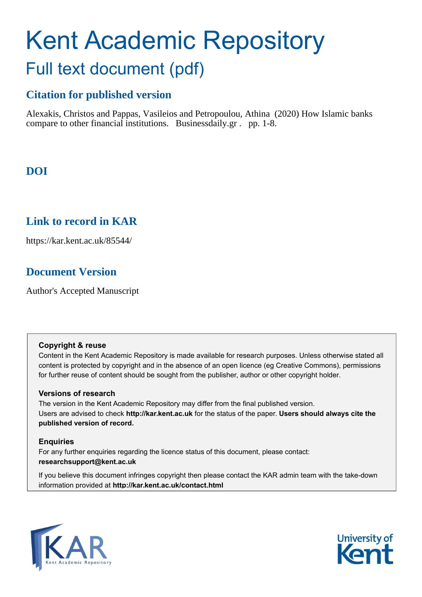# Kent Academic Repository Full text document (pdf)

# **Citation for published version**

Alexakis, Christos and Pappas, Vasileios and Petropoulou, Athina (2020) How Islamic banks compare to other financial institutions. Businessdaily.gr . pp. 1-8.

# **DOI**

# **Link to record in KAR**

https://kar.kent.ac.uk/85544/

# **Document Version**

Author's Accepted Manuscript

# **Copyright & reuse**

Content in the Kent Academic Repository is made available for research purposes. Unless otherwise stated all content is protected by copyright and in the absence of an open licence (eg Creative Commons), permissions for further reuse of content should be sought from the publisher, author or other copyright holder.

# **Versions of research**

The version in the Kent Academic Repository may differ from the final published version. Users are advised to check **http://kar.kent.ac.uk** for the status of the paper. **Users should always cite the published version of record.**

# **Enquiries**

For any further enquiries regarding the licence status of this document, please contact: **researchsupport@kent.ac.uk**

If you believe this document infringes copyright then please contact the KAR admin team with the take-down information provided at **http://kar.kent.ac.uk/contact.html**



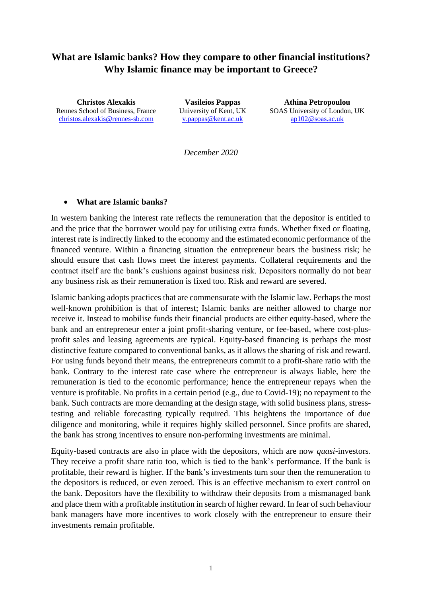# **What are Islamic banks? How they compare to other financial institutions? Why Islamic finance may be important to Greece?**

**Christos Alexakis** Rennes School of Business, France [christos.alexakis@rennes-sb.com](mailto:christos.alexakis@rennes-sb.com)

**Vasileios Pappas** University of Kent, UK [v.pappas@kent.ac.uk](mailto:v.pappas@kent.ac.uk)

**Athina Petropoulou** SOAS University of London, UK [ap102@soas.ac.uk](mailto:ap102@soas.ac.uk)

*December 2020*

#### • **What are Islamic banks?**

In western banking the interest rate reflects the remuneration that the depositor is entitled to and the price that the borrower would pay for utilising extra funds. Whether fixed or floating, interest rate is indirectly linked to the economy and the estimated economic performance of the financed venture. Within a financing situation the entrepreneur bears the business risk; he should ensure that cash flows meet the interest payments. Collateral requirements and the contract itself are the bank's cushions against business risk. Depositors normally do not bear any business risk as their remuneration is fixed too. Risk and reward are severed.

Islamic banking adopts practices that are commensurate with the Islamic law. Perhaps the most well-known prohibition is that of interest; Islamic banks are neither allowed to charge nor receive it. Instead to mobilise funds their financial products are either equity-based, where the bank and an entrepreneur enter a joint profit-sharing venture, or fee-based, where cost-plusprofit sales and leasing agreements are typical. Equity-based financing is perhaps the most distinctive feature compared to conventional banks, as it allows the sharing of risk and reward. For using funds beyond their means, the entrepreneurs commit to a profit-share ratio with the bank. Contrary to the interest rate case where the entrepreneur is always liable, here the remuneration is tied to the economic performance; hence the entrepreneur repays when the venture is profitable. No profits in a certain period (e.g., due to Covid-19); no repayment to the bank. Such contracts are more demanding at the design stage, with solid business plans, stresstesting and reliable forecasting typically required. This heightens the importance of due diligence and monitoring, while it requires highly skilled personnel. Since profits are shared, the bank has strong incentives to ensure non-performing investments are minimal.

Equity-based contracts are also in place with the depositors, which are now *quasi*-investors. They receive a profit share ratio too, which is tied to the bank's performance. If the bank is profitable, their reward is higher. If the bank's investments turn sour then the remuneration to the depositors is reduced, or even zeroed. This is an effective mechanism to exert control on the bank. Depositors have the flexibility to withdraw their deposits from a mismanaged bank and place them with a profitable institution in search of higher reward. In fear of such behaviour bank managers have more incentives to work closely with the entrepreneur to ensure their investments remain profitable.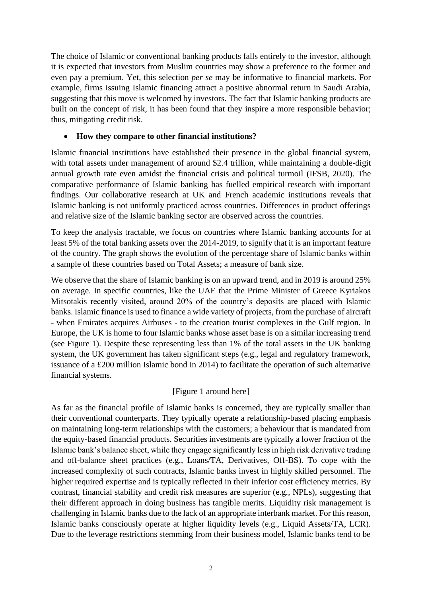The choice of Islamic or conventional banking products falls entirely to the investor, although it is expected that investors from Muslim countries may show a preference to the former and even pay a premium. Yet, this selection *per se* may be informative to financial markets. For example, firms issuing Islamic financing attract a positive abnormal return in Saudi Arabia, suggesting that this move is welcomed by investors. The fact that Islamic banking products are built on the concept of risk, it has been found that they inspire a more responsible behavior; thus, mitigating credit risk.

# • **How they compare to other financial institutions?**

Islamic financial institutions have established their presence in the global financial system, with total assets under management of around \$2.4 trillion, while maintaining a double-digit annual growth rate even amidst the financial crisis and political turmoil (IFSB, 2020). The comparative performance of Islamic banking has fuelled empirical research with important findings. Our collaborative research at UK and French academic institutions reveals that Islamic banking is not uniformly practiced across countries. Differences in product offerings and relative size of the Islamic banking sector are observed across the countries.

To keep the analysis tractable, we focus on countries where Islamic banking accounts for at least 5% of the total banking assets over the 2014-2019, to signify that it is an important feature of the country. The graph shows the evolution of the percentage share of Islamic banks within a sample of these countries based on Total Assets; a measure of bank size.

We observe that the share of Islamic banking is on an upward trend, and in 2019 is around 25% on average. In specific countries, like the UAE that the Prime Minister of Greece Kyriakos Mitsotakis recently visited, around 20% of the country's deposits are placed with Islamic banks. Islamic finance is used to finance a wide variety of projects, from the purchase of aircraft - when Emirates acquires Airbuses - to the creation tourist complexes in the Gulf region. In Europe, the UK is home to four Islamic banks whose asset base is on a similar increasing trend (see Figure 1). Despite these representing less than 1% of the total assets in the UK banking system, the UK government has taken significant steps (e.g., legal and regulatory framework, issuance of a £200 million Islamic bond in 2014) to facilitate the operation of such alternative financial systems.

# [Figure 1 around here]

As far as the financial profile of Islamic banks is concerned, they are typically smaller than their conventional counterparts. They typically operate a relationship-based placing emphasis on maintaining long-term relationships with the customers; a behaviour that is mandated from the equity-based financial products. Securities investments are typically a lower fraction of the Islamic bank's balance sheet, while they engage significantly less in high risk derivative trading and off-balance sheet practices (e.g., Loans/TA, Derivatives, Off-BS). To cope with the increased complexity of such contracts, Islamic banks invest in highly skilled personnel. The higher required expertise and is typically reflected in their inferior cost efficiency metrics. By contrast, financial stability and credit risk measures are superior (e.g., NPLs), suggesting that their different approach in doing business has tangible merits. Liquidity risk management is challenging in Islamic banks due to the lack of an appropriate interbank market. For this reason, Islamic banks consciously operate at higher liquidity levels (e.g., Liquid Assets/TA, LCR). Due to the leverage restrictions stemming from their business model, Islamic banks tend to be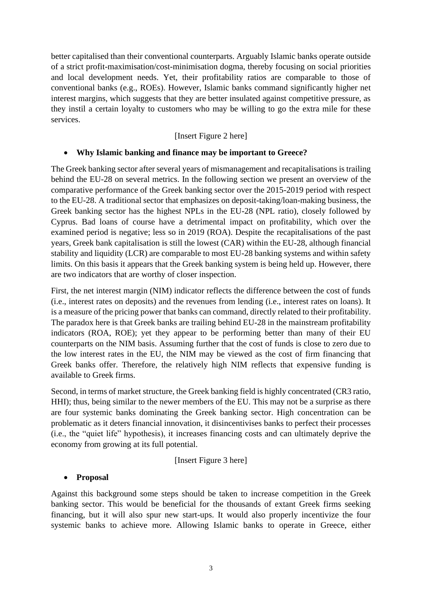better capitalised than their conventional counterparts. Arguably Islamic banks operate outside of a strict profit-maximisation/cost-minimisation dogma, thereby focusing on social priorities and local development needs. Yet, their profitability ratios are comparable to those of conventional banks (e.g., ROEs). However, Islamic banks command significantly higher net interest margins, which suggests that they are better insulated against competitive pressure, as they instil a certain loyalty to customers who may be willing to go the extra mile for these services.

# [Insert Figure 2 here]

# • **Why Islamic banking and finance may be important to Greece?**

The Greek banking sector after several years of mismanagement and recapitalisations is trailing behind the EU-28 on several metrics. In the following section we present an overview of the comparative performance of the Greek banking sector over the 2015-2019 period with respect to the EU-28. A traditional sector that emphasizes on deposit-taking/loan-making business, the Greek banking sector has the highest NPLs in the EU-28 (NPL ratio), closely followed by Cyprus. Bad loans of course have a detrimental impact on profitability, which over the examined period is negative; less so in 2019 (ROA). Despite the recapitalisations of the past years, Greek bank capitalisation is still the lowest (CAR) within the EU-28, although financial stability and liquidity (LCR) are comparable to most EU-28 banking systems and within safety limits. On this basis it appears that the Greek banking system is being held up. However, there are two indicators that are worthy of closer inspection.

First, the net interest margin (NIM) indicator reflects the difference between the cost of funds (i.e., interest rates on deposits) and the revenues from lending (i.e., interest rates on loans). It is a measure of the pricing power that banks can command, directly related to their profitability. The paradox here is that Greek banks are trailing behind EU-28 in the mainstream profitability indicators (ROA, ROE); yet they appear to be performing better than many of their EU counterparts on the NIM basis. Assuming further that the cost of funds is close to zero due to the low interest rates in the EU, the NIM may be viewed as the cost of firm financing that Greek banks offer. Therefore, the relatively high NIM reflects that expensive funding is available to Greek firms.

Second, in terms of market structure, the Greek banking field is highly concentrated (CR3 ratio, HHI); thus, being similar to the newer members of the EU. This may not be a surprise as there are four systemic banks dominating the Greek banking sector. High concentration can be problematic as it deters financial innovation, it disincentivises banks to perfect their processes (i.e., the "quiet life" hypothesis), it increases financing costs and can ultimately deprive the economy from growing at its full potential.

# [Insert Figure 3 here]

# • **Proposal**

Against this background some steps should be taken to increase competition in the Greek banking sector. This would be beneficial for the thousands of extant Greek firms seeking financing, but it will also spur new start-ups. It would also properly incentivize the four systemic banks to achieve more. Allowing Islamic banks to operate in Greece, either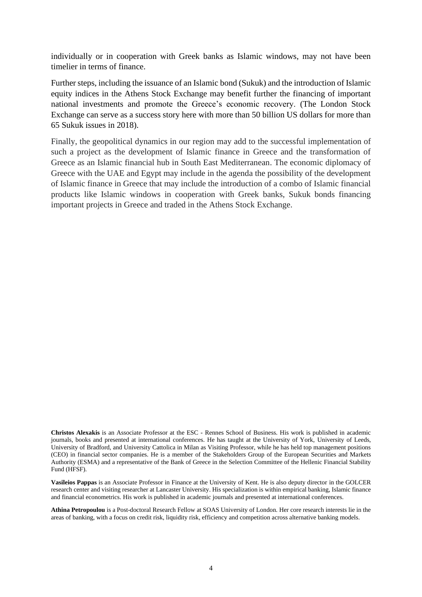individually or in cooperation with Greek banks as Islamic windows, may not have been timelier in terms of finance.

Further steps, including the issuance of an Islamic bond (Sukuk) and the introduction of Islamic equity indices in the Athens Stock Exchange may benefit further the financing of important national investments and promote the Greece's economic recovery. (The London Stock Exchange can serve as a success story here with more than 50 billion US dollars for more than 65 Sukuk issues in 2018).

Finally, the geopolitical dynamics in our region may add to the successful implementation of such a project as the development of Islamic finance in Greece and the transformation of Greece as an Islamic financial hub in South East Mediterranean. The economic diplomacy of Greece with the UAE and Egypt may include in the agenda the possibility of the development of Islamic finance in Greece that may include the introduction of a combo of Islamic financial products like Islamic windows in cooperation with Greek banks, Sukuk bonds financing important projects in Greece and traded in the Athens Stock Exchange.

**Vasileios Pappas** is an Associate Professor in Finance at the University of Kent. He is also deputy director in the GOLCER research center and visiting researcher at Lancaster University. His specialization is within empirical banking, Islamic finance and financial econometrics. His work is published in academic journals and presented at international conferences.

**Athina Petropoulou** is a Post-doctoral Research Fellow at SOAS University of London. Her core research interests lie in the areas of banking, with a focus on credit risk, liquidity risk, efficiency and competition across alternative banking models.

**Christos Alexakis** is an Associate Professor at the ESC - Rennes School of Business. His work is published in academic journals, books and presented at international conferences. He has taught at the University of York, University of Leeds, University of Bradford, and University Cattolica in Milan as Visiting Professor, while he has held top management positions (CEO) in financial sector companies. He is a member of the Stakeholders Group of the European Securities and Markets Authority (ESMA) and a representative of the Bank of Greece in the Selection Committee of the Hellenic Financial Stability Fund (HFSF).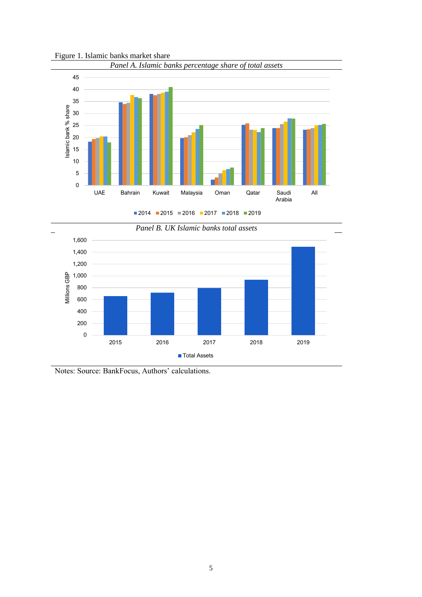

Figure 1. Islamic banks market share





Notes: Source: BankFocus, Authors' calculations.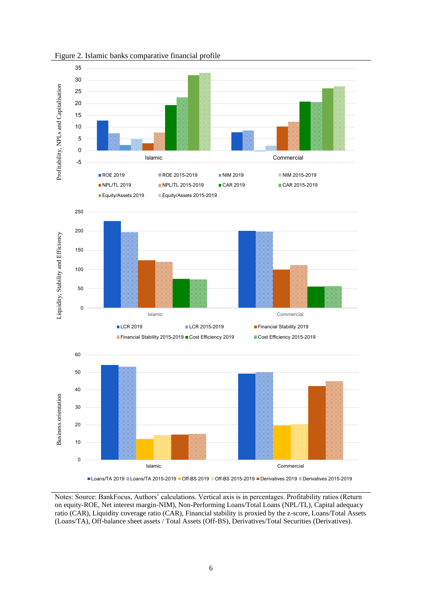

Figure 2. Islamic banks comparative financial profile

Loans/TA 2019 **M** Loans/TA 2015-2019 **Off-BS 2019 M** Off-BS 2015-2019 **Derivatives 2019 M** Derivatives 2015-2019

Notes: Source: BankFocus, Authors' calculations. Vertical axis is in percentages. Profitability ratios (Return on equity-ROE, Net interest margin-NIM), Non-Performing Loans/Total Loans (NPL/TL), Capital adequacy ratio (CAR), Liquidity coverage ratio (CAR), Financial stability is proxied by the z-score, Loans/Total Assets (Loans/TA), Off-balance sheet assets / Total Assets (Off-BS), Derivatives/Total Securities (Derivatives).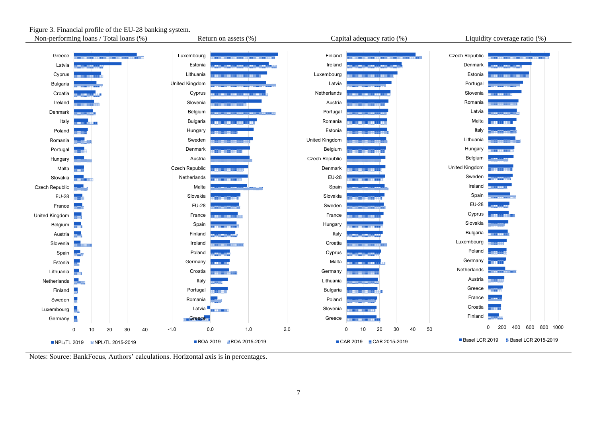

#### Figure 3. Financial profile of the EU-28 banking system.

Notes: Source: BankFocus, Authors' calculations. Horizontal axis is in percentages.